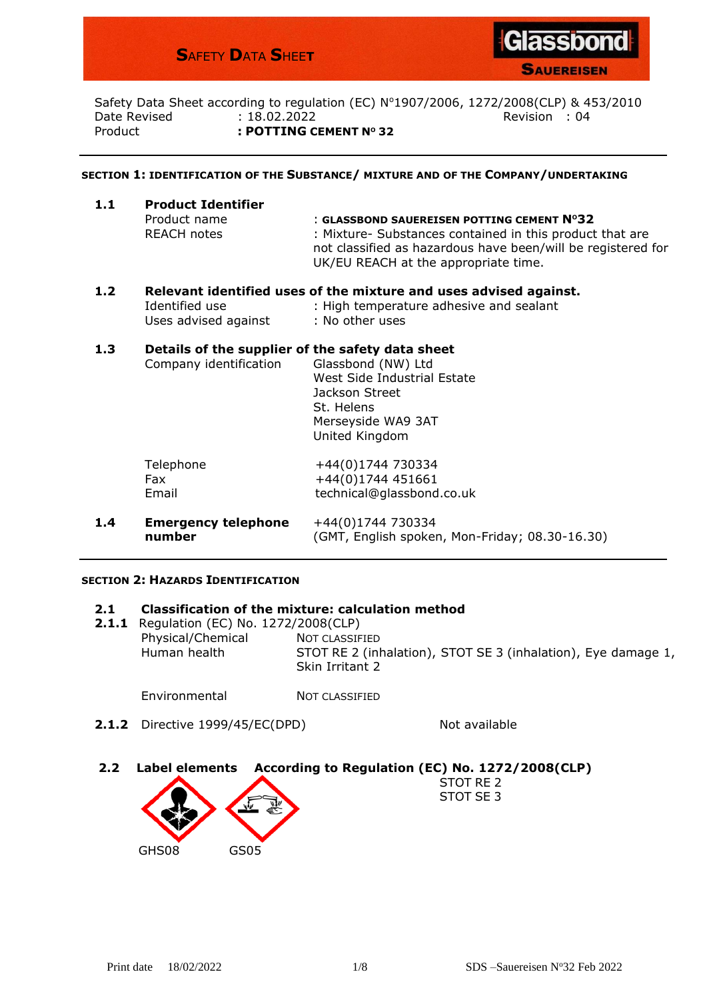# **S**AFETY **D**ATA **S**HEE**T**



**SAUEREISEN** 

Safety Data Sheet according to regulation (EC) Nº1907/2006, 1272/2008(CLP) & 453/2010 Date Revised **: 18.02.2022** Revision : 04 Product **: POTTING CEMENT N<sup>O</sup> 32**

#### **SECTION 1: IDENTIFICATION OF THE SUBSTANCE/ MIXTURE AND OF THE COMPANY/UNDERTAKING**

| 1.1 | <b>Product Identifier</b> | : GLASSBOND SAUEREISEN POTTING CEMENT Nº32<br>: Mixture- Substances contained in this product that are |  |  |  |  |
|-----|---------------------------|--------------------------------------------------------------------------------------------------------|--|--|--|--|
|     | Product name              |                                                                                                        |  |  |  |  |
|     | <b>REACH notes</b>        | not classified as hazardous have been/will be registered for<br>UK/EU REACH at the appropriate time.   |  |  |  |  |
|     |                           |                                                                                                        |  |  |  |  |

# **1.2 Relevant identified uses of the mixture and uses advised against.** Identified use : High temperature adhesive and sealant Uses advised against : No other uses

# **1.3 Details of the supplier of the safety data sheet**

|     | Company identification               | Glassbond (NW) Ltd<br>West Side Industrial Estate<br>Jackson Street<br>St. Helens<br>Merseyside WA9 3AT<br>United Kingdom |
|-----|--------------------------------------|---------------------------------------------------------------------------------------------------------------------------|
|     | Telephone<br>Fax<br>Email            | +44(0)1744 730334<br>+44(0)1744 451661<br>technical@glassbond.co.uk                                                       |
| 1.4 | <b>Emergency telephone</b><br>number | +44(0)1744 730334<br>(GMT, English spoken, Mon-Friday; 08.30-16.30)                                                       |

#### **SECTION 2: HAZARDS IDENTIFICATION**

#### **2.1 Classification of the mixture: calculation method**

**2.1.1** Regulation (EC) No. 1272/2008(CLP) Physical/Chemical NOT CLASSIFIED Human health STOT RE 2 (inhalation), STOT SE 3 (inhalation), Eye damage 1, Skin Irritant 2

Environmental NOT CLASSIFIED

**2.1.2** Directive 1999/45/EC(DPD) Not available

STOT RE 2 STOT SE 3

# **2.2 [Label elemen](http://upload.wikimedia.org/wikipedia/commons/archive/d/d5/20100708165457!GHS-pictogram-silhouete.svg)ts [Accordi](http://upload.wikimedia.org/wikipedia/commons/a/a1/GHS-pictogram-acid.svg)ng to Regulation (EC) No. 1272/2008(CLP)**

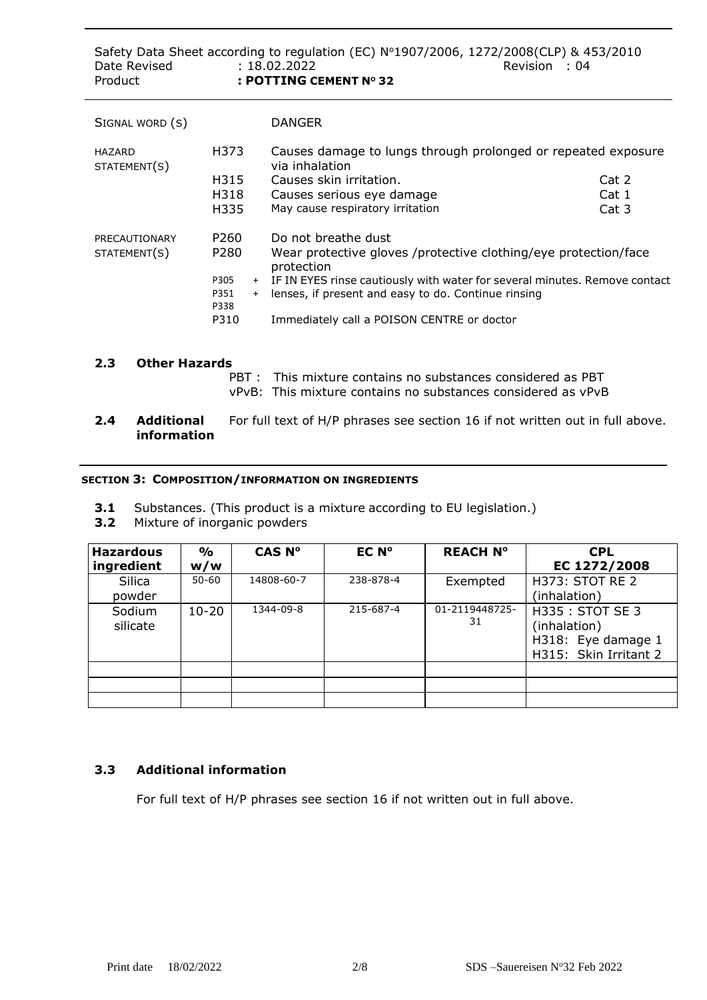| Date Revised<br>Product |             | Safety Data Sheet according to regulation (EC) $N^{\circ}1907/2006$ , 1272/2008(CLP) & 453/2010<br>: 18.02.2022<br>Revision : 04<br>: POTTING CEMENT Nº 32 |       |  |  |  |
|-------------------------|-------------|------------------------------------------------------------------------------------------------------------------------------------------------------------|-------|--|--|--|
| SIGNAL WORD (S)         |             | <b>DANGER</b>                                                                                                                                              |       |  |  |  |
| HAZARD<br>STATEMENT(S)  | H373        | Causes damage to lungs through prolonged or repeated exposure<br>via inhalation                                                                            |       |  |  |  |
|                         | H315        | Causes skin irritation.                                                                                                                                    | Cat 2 |  |  |  |
|                         | H318        | Causes serious eye damage                                                                                                                                  | Cat 1 |  |  |  |
|                         | H335        | May cause respiratory irritation                                                                                                                           | Cat 3 |  |  |  |
| PRECAUTIONARY           | P260        | Do not breathe dust                                                                                                                                        |       |  |  |  |
| STATEMENT(S)            | P280        | Wear protective gloves /protective clothing/eye protection/face<br>protection                                                                              |       |  |  |  |
|                         | P305        | + IF IN EYES rinse cautiously with water for several minutes. Remove contact                                                                               |       |  |  |  |
|                         | P351<br>$+$ | lenses, if present and easy to do. Continue rinsing                                                                                                        |       |  |  |  |
|                         | P338        |                                                                                                                                                            |       |  |  |  |
|                         | P310        | Immediately call a POISON CENTRE or doctor                                                                                                                 |       |  |  |  |
|                         |             |                                                                                                                                                            |       |  |  |  |

# **2.3 Other Hazards**

PBT : This mixture contains no substances considered as PBT vPvB: This mixture contains no substances considered as vPvB

**2.4 Additional** For full text of H/P phrases see section 16 if not written out in full above. **information**

#### **SECTION 3: COMPOSITION/INFORMATION ON INGREDIENTS**

- **3.1** Substances. (This product is a mixture according to EU legislation.)
- **3.2** Mixture of inorganic powders

| <b>Hazardous</b><br>ingredient | $\frac{0}{0}$<br>w/w | CAS Nº     | EC N°     | <b>REACH N°</b>      | <b>CPL</b><br>EC 1272/2008                                                     |
|--------------------------------|----------------------|------------|-----------|----------------------|--------------------------------------------------------------------------------|
| Silica<br>powder               | $50 - 60$            | 14808-60-7 | 238-878-4 | Exempted             | H373: STOT RE 2<br>(inhalation)                                                |
| Sodium<br>silicate             | $10 - 20$            | 1344-09-8  | 215-687-4 | 01-2119448725-<br>31 | H335: STOT SE 3<br>(inhalation)<br>H318: Eye damage 1<br>H315: Skin Irritant 2 |
|                                |                      |            |           |                      |                                                                                |
|                                |                      |            |           |                      |                                                                                |
|                                |                      |            |           |                      |                                                                                |

# **3.3 Additional information**

For full text of H/P phrases see section 16 if not written out in full above.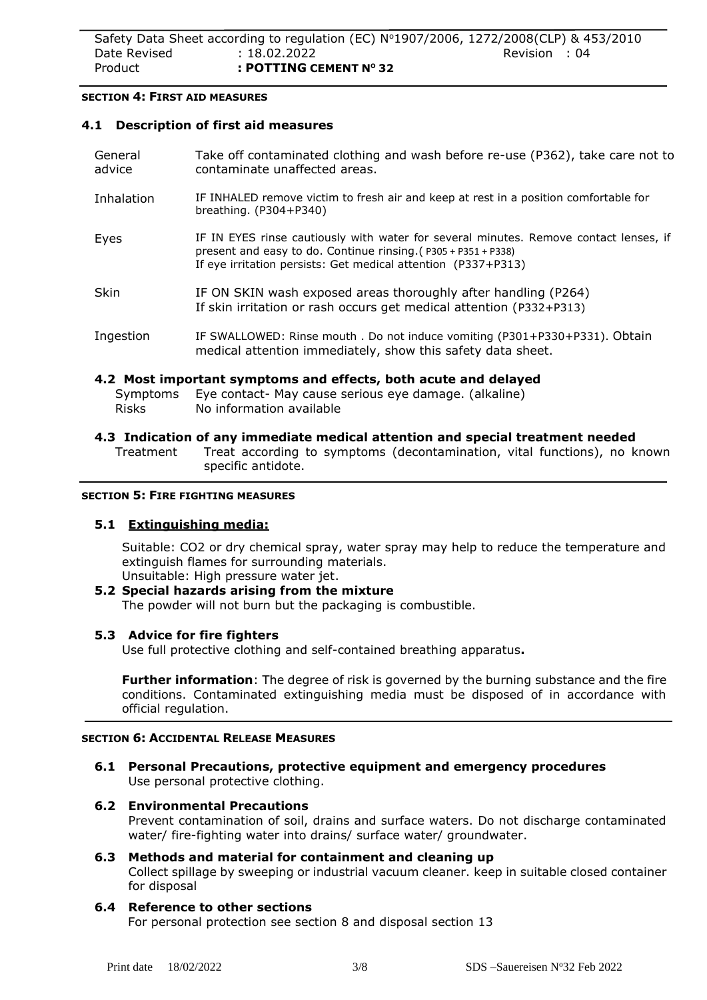#### **SECTION 4: FIRST AID MEASURES**

 $\overline{a}$ 

#### **4.1 Description of first aid measures**

| General<br>advice | Take off contaminated clothing and wash before re-use (P362), take care not to<br>contaminate unaffected areas.                                                                                                          |
|-------------------|--------------------------------------------------------------------------------------------------------------------------------------------------------------------------------------------------------------------------|
| Inhalation        | IF INHALED remove victim to fresh air and keep at rest in a position comfortable for<br>breathing. $(P304+P340)$                                                                                                         |
| Eyes              | IF IN EYES rinse cautiously with water for several minutes. Remove contact lenses, if<br>present and easy to do. Continue rinsing. (P305 + P351 + P338)<br>If eye irritation persists: Get medical attention (P337+P313) |
| <b>Skin</b>       | IF ON SKIN wash exposed areas thoroughly after handling (P264)<br>If skin irritation or rash occurs get medical attention (P332+P313)                                                                                    |
| Ingestion         | IF SWALLOWED: Rinse mouth . Do not induce vomiting (P301+P330+P331). Obtain<br>medical attention immediately, show this safety data sheet.                                                                               |
| Risks             | 4.2 Most important symptoms and effects, both acute and delayed<br>Symptoms Eye contact- May cause serious eye damage. (alkaline)<br>No information available                                                            |

**4.3 Indication of any immediate medical attention and special treatment needed** Treatment Treat according to symptoms (decontamination, vital functions), no known specific antidote.

#### **SECTION 5: FIRE FIGHTING MEASURES**

# **5.1 Extinguishing media:**

Suitable: CO2 or dry chemical spray, water spray may help to reduce the temperature and extinguish flames for surrounding materials.

Unsuitable: High pressure water jet. **5.2 Special hazards arising from the mixture** The powder will not burn but the packaging is combustible.

# **5.3 Advice for fire fighters**

Use full protective clothing and self-contained breathing apparatus**.**

**Further information**: The degree of risk is governed by the burning substance and the fire conditions. Contaminated extinguishing media must be disposed of in accordance with official regulation.

# **SECTION 6: ACCIDENTAL RELEASE MEASURES**

**6.1 Personal Precautions, protective equipment and emergency procedures** Use personal protective clothing.

# **6.2 Environmental Precautions**

Prevent contamination of soil, drains and surface waters. Do not discharge contaminated water/ fire-fighting water into drains/ surface water/ groundwater.

#### **6.3 Methods and material for containment and cleaning up**

Collect spillage by sweeping or industrial vacuum cleaner. keep in suitable closed container for disposal

# **6.4 Reference to other sections**

For personal protection see section 8 and disposal section 13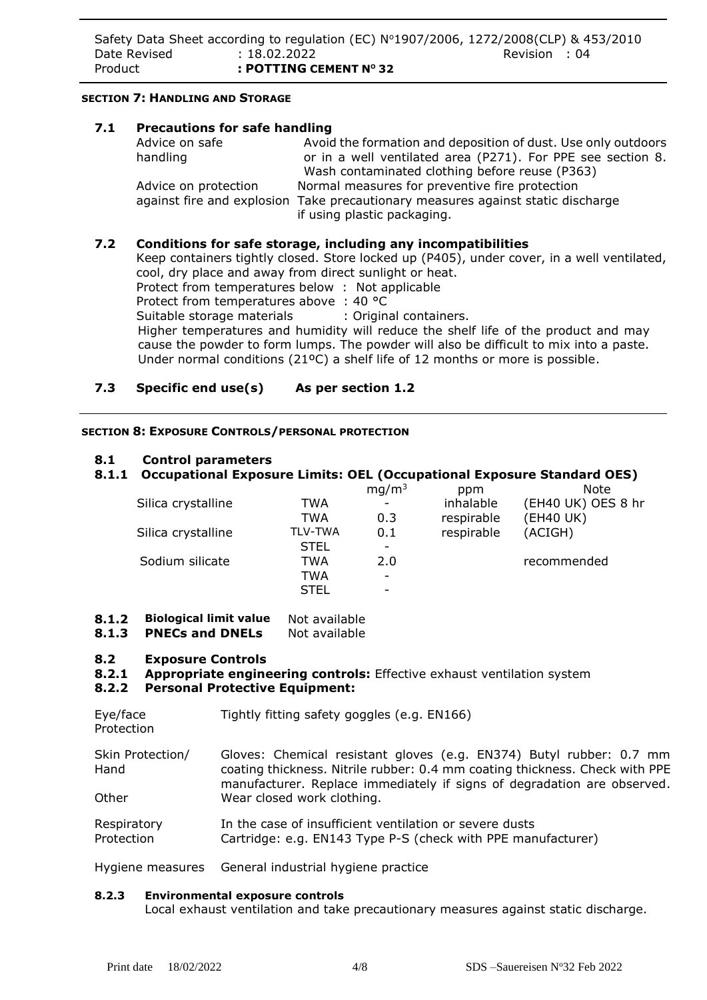# **SECTION 7: HANDLING AND STORAGE**

| 7.1 | <b>Precautions for safe handling</b> |                                                                                                                |  |  |  |
|-----|--------------------------------------|----------------------------------------------------------------------------------------------------------------|--|--|--|
|     | Advice on safe                       | Avoid the formation and deposition of dust. Use only outdoors                                                  |  |  |  |
|     | handling                             | or in a well ventilated area (P271). For PPE see section 8.                                                    |  |  |  |
|     |                                      | Wash contaminated clothing before reuse (P363)                                                                 |  |  |  |
|     | Advice on protection                 | Normal measures for preventive fire protection                                                                 |  |  |  |
|     |                                      | against fire and explosion Take precautionary measures against static discharge<br>if using plastic packaging. |  |  |  |
|     |                                      |                                                                                                                |  |  |  |

# **7.2 Conditions for safe storage, including any incompatibilities**

Keep containers tightly closed. Store locked up (P405), under cover, in a well ventilated, cool, dry place and away from direct sunlight or heat.

Protect from temperatures below : Not applicable

Protect from temperatures above : 40 °C

Suitable storage materials : Original containers.

 Higher temperatures and humidity will reduce the shelf life of the product and may cause the powder to form lumps. The powder will also be difficult to mix into a paste. Under normal conditions (21ºC) a shelf life of 12 months or more is possible.

# **7.3 Specific end use(s) As per section 1.2**

# **SECTION 8: EXPOSURE CONTROLS/PERSONAL PROTECTION**

# **8.1 Control parameters**

# **8.1.1 Occupational Exposure Limits: OEL (Occupational Exposure Standard OES)**

|                |     | ppm               | <b>Note</b>        |
|----------------|-----|-------------------|--------------------|
| TWA            |     | inhalable         | (EH40 UK) OES 8 hr |
| TWA            | 0.3 | respirable        | (EH40 UK)          |
| <b>TLV-TWA</b> | 0.1 | respirable        | (ACIGH)            |
| <b>STEL</b>    |     |                   |                    |
| TWA            | 2.0 |                   | recommended        |
| TWA            | ۰   |                   |                    |
| <b>STEL</b>    |     |                   |                    |
|                |     | mg/m <sup>3</sup> |                    |

# **8.1.2 Biological limit value** Not available

**8.1.3 PNECs and DNELs** Not available

# **8.2 Exposure Controls**

**8.2.1 Appropriate engineering controls:** Effective exhaust ventilation system

# **8.2.2 Personal Protective Equipment:**

| Eye/face<br>Protection    | Tightly fitting safety goggles (e.g. EN166)                                                                                                                                                                                   |
|---------------------------|-------------------------------------------------------------------------------------------------------------------------------------------------------------------------------------------------------------------------------|
| Skin Protection/<br>Hand  | Gloves: Chemical resistant gloves (e.g. EN374) Butyl rubber: 0.7 mm<br>coating thickness. Nitrile rubber: 0.4 mm coating thickness. Check with PPE<br>manufacturer. Replace immediately if signs of degradation are observed. |
| Other                     | Wear closed work clothing.                                                                                                                                                                                                    |
| Respiratory<br>Protection | In the case of insufficient ventilation or severe dusts<br>Cartridge: e.g. EN143 Type P-S (check with PPE manufacturer)                                                                                                       |

Hygiene measures General industrial hygiene practice

# **8.2.3 Environmental exposure controls**

Local exhaust ventilation and take precautionary measures against static discharge.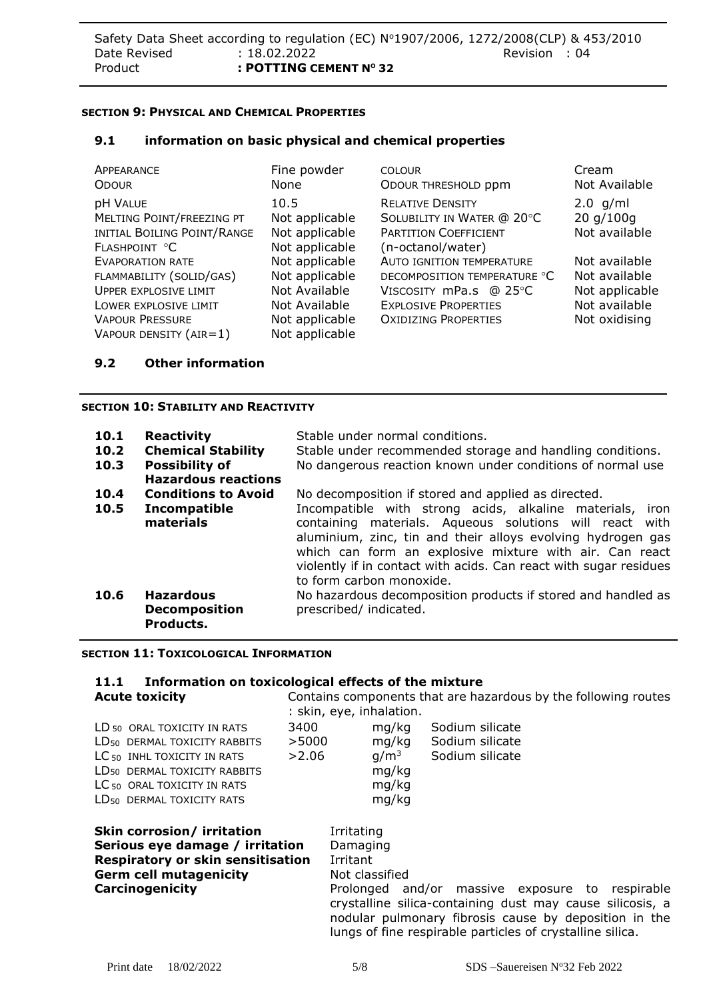# **SECTION 9: PHYSICAL AND CHEMICAL PROPERTIES**

#### **9.1 information on basic physical and chemical properties**

| APPEARANCE                                                                            | Fine powder                                                | <b>COLOUR</b>                                                                                              | Cream                                    |
|---------------------------------------------------------------------------------------|------------------------------------------------------------|------------------------------------------------------------------------------------------------------------|------------------------------------------|
| <b>ODOUR</b>                                                                          | None                                                       | ODOUR THRESHOLD ppm                                                                                        | Not Available                            |
| pH VALUE<br>MELTING POINT/FREEZING PT<br>INITIAL BOILING POINT/RANGE<br>FLASHPOINT °C | 10.5<br>Not applicable<br>Not applicable<br>Not applicable | <b>RELATIVE DENSITY</b><br>SOLUBILITY IN WATER @ 20°C<br><b>PARTITION COEFFICIENT</b><br>(n-octanol/water) | $2.0$ g/ml<br>20 g/100g<br>Not available |
| <b>EVAPORATION RATE</b>                                                               | Not applicable                                             | <b>AUTO IGNITION TEMPERATURE</b>                                                                           | Not available                            |
| FLAMMABILITY (SOLID/GAS)                                                              | Not applicable                                             | DECOMPOSITION TEMPERATURE °C                                                                               | Not available                            |
| UPPER EXPLOSIVE LIMIT                                                                 | Not Available                                              | VISCOSITY mPa.s @ 25°C                                                                                     | Not applicable                           |
| LOWER EXPLOSIVE LIMIT                                                                 | Not Available                                              | <b>EXPLOSIVE PROPERTIES</b>                                                                                | Not available                            |
| <b>VAPOUR PRESSURE</b>                                                                | Not applicable                                             | <b>OXIDIZING PROPERTIES</b>                                                                                | Not oxidising                            |
| VAPOUR DENSITY $(AIR=1)$                                                              | Not applicable                                             |                                                                                                            |                                          |

#### **9.2 Other information**

#### **SECTION 10: STABILITY AND REACTIVITY**

| 10.1<br>10.2<br>10.3 | <b>Reactivity</b><br><b>Chemical Stability</b><br><b>Possibility of</b><br><b>Hazardous reactions</b> | Stable under normal conditions.<br>Stable under recommended storage and handling conditions.<br>No dangerous reaction known under conditions of normal use                                                                                                                                                                                                                                            |  |  |  |
|----------------------|-------------------------------------------------------------------------------------------------------|-------------------------------------------------------------------------------------------------------------------------------------------------------------------------------------------------------------------------------------------------------------------------------------------------------------------------------------------------------------------------------------------------------|--|--|--|
| 10.4<br>10.5         | <b>Conditions to Avoid</b><br>Incompatible<br>materials                                               | No decomposition if stored and applied as directed.<br>Incompatible with strong acids, alkaline materials, iron<br>containing materials. Aqueous solutions will react with<br>aluminium, zinc, tin and their alloys evolving hydrogen gas<br>which can form an explosive mixture with air. Can react<br>violently if in contact with acids. Can react with sugar residues<br>to form carbon monoxide. |  |  |  |
| 10.6                 | <b>Hazardous</b><br><b>Decomposition</b><br>Products.                                                 | No hazardous decomposition products if stored and handled as<br>prescribed/ indicated.                                                                                                                                                                                                                                                                                                                |  |  |  |

#### **SECTION 11: TOXICOLOGICAL INFORMATION**

# **11.1 Information on toxicological effects of the mixture<br><b>Acute toxicity** Contains components that are ha

| <b>Acute toxicity</b>                                                                                                                                                                                                                                       |                        | Contains components that are hazardous by the following routes<br>: skin, eye, inhalation. |                                                      |                                                                                                                                                                                                                                    |  |  |
|-------------------------------------------------------------------------------------------------------------------------------------------------------------------------------------------------------------------------------------------------------------|------------------------|--------------------------------------------------------------------------------------------|------------------------------------------------------|------------------------------------------------------------------------------------------------------------------------------------------------------------------------------------------------------------------------------------|--|--|
| LD <sub>50</sub> ORAL TOXICITY IN RATS<br>LD <sub>50</sub> DERMAL TOXICITY RABBITS<br>LC <sub>50</sub> INHL TOXICITY IN RATS<br>LD <sub>50</sub> DERMAL TOXICITY RABBITS<br>LC <sub>50</sub> ORAL TOXICITY IN RATS<br>LD <sub>50</sub> DERMAL TOXICITY RATS | 3400<br>>5000<br>>2.06 |                                                                                            | mg/kg<br>mg/kg<br>$q/m^3$<br>mg/kg<br>mg/kg<br>mg/kg | Sodium silicate<br>Sodium silicate<br>Sodium silicate                                                                                                                                                                              |  |  |
| Skin corrosion/ irritation<br>Serious eye damage / irritation<br><b>Respiratory or skin sensitisation</b><br><b>Germ cell mutagenicity</b><br>Carcinogenicity                                                                                               |                        | Irritating<br>Damaging<br>Irritant                                                         | Not classified                                       | Prolonged and/or massive exposure to respirable<br>crystalline silica-containing dust may cause silicosis, a<br>nodular pulmonary fibrosis cause by deposition in the<br>lungs of fine respirable particles of crystalline silica. |  |  |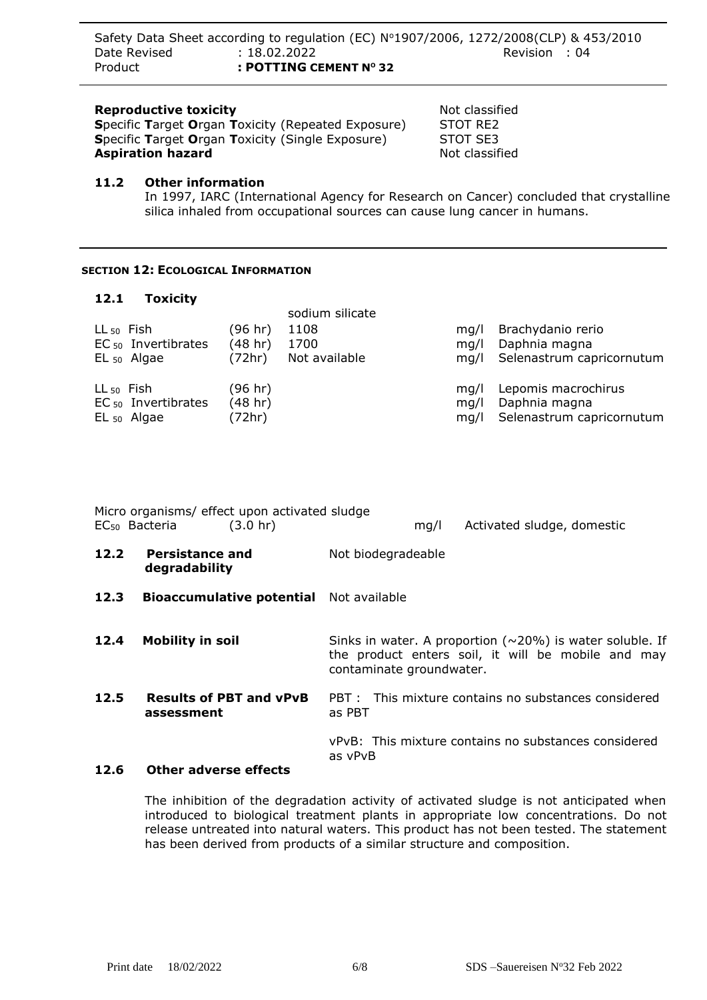# **Reproductive toxicity Not classified Not classified**

**Specific Target Organ Toxicity (Repeated Exposure) STOT RE2<br><b>Specific Target Organ Toxicity (Single Exposure) STOT SE3 Specific Target Organ Toxicity (Single Exposure) Aspiration hazard Not classified Not classified** 

# **11.2 Other information**

In 1997, IARC (International Agency for Research on Cancer) concluded that crystalline silica inhaled from occupational sources can cause lung cancer in humans.

# **SECTION 12: ECOLOGICAL INFORMATION**

# **12.1 Toxicity**

| $LL_{50}$ Fish | EC <sub>50</sub> Invertibrates<br>$EL_{50}$ Algae | (96 hr)<br>(48 hr)<br>(72hr) | sodium silicate<br>1108<br>1700<br>Not available | ma/l<br>ma/l<br>ma/l | Brachydanio rerio<br>Daphnia magna<br>Selenastrum capricornutum   |
|----------------|---------------------------------------------------|------------------------------|--------------------------------------------------|----------------------|-------------------------------------------------------------------|
| $LL_{50}$ Fish | EC <sub>50</sub> Invertibrates<br>$EL_{50}$ Algae | (96 hr)<br>(48 hr)<br>(72hr) |                                                  | ma/l<br>ma/l<br>mq/l | Lepomis macrochirus<br>Daphnia magna<br>Selenastrum capricornutum |

|      | EC <sub>50</sub> Bacteria               | Micro organisms/ effect upon activated sludge<br>$(3.0 \text{ hr})$ |                    |  | mq/l                     | Activated sludge, domestic                                                                                            |  |
|------|-----------------------------------------|---------------------------------------------------------------------|--------------------|--|--------------------------|-----------------------------------------------------------------------------------------------------------------------|--|
| 12.2 | <b>Persistance and</b><br>degradability |                                                                     | Not biodegradeable |  |                          |                                                                                                                       |  |
| 12.3 |                                         | <b>Bioaccumulative potential</b> Not available                      |                    |  |                          |                                                                                                                       |  |
| 12.4 | <b>Mobility in soil</b>                 |                                                                     |                    |  | contaminate groundwater. | Sinks in water. A proportion ( $\sim$ 20%) is water soluble. If<br>the product enters soil, it will be mobile and may |  |
| 12.5 | assessment                              | <b>Results of PBT and vPvB</b>                                      | as PBT             |  |                          | PBT : This mixture contains no substances considered                                                                  |  |
| 12 G | Other adverse effects                   |                                                                     | as vPvB            |  |                          | vPvB: This mixture contains no substances considered                                                                  |  |

# **12.6 Other adverse effects**

The inhibition of the degradation activity of activated sludge is not anticipated when introduced to biological treatment plants in appropriate low concentrations. Do not release untreated into natural waters. This product has not been tested. The statement has been derived from products of a similar structure and composition.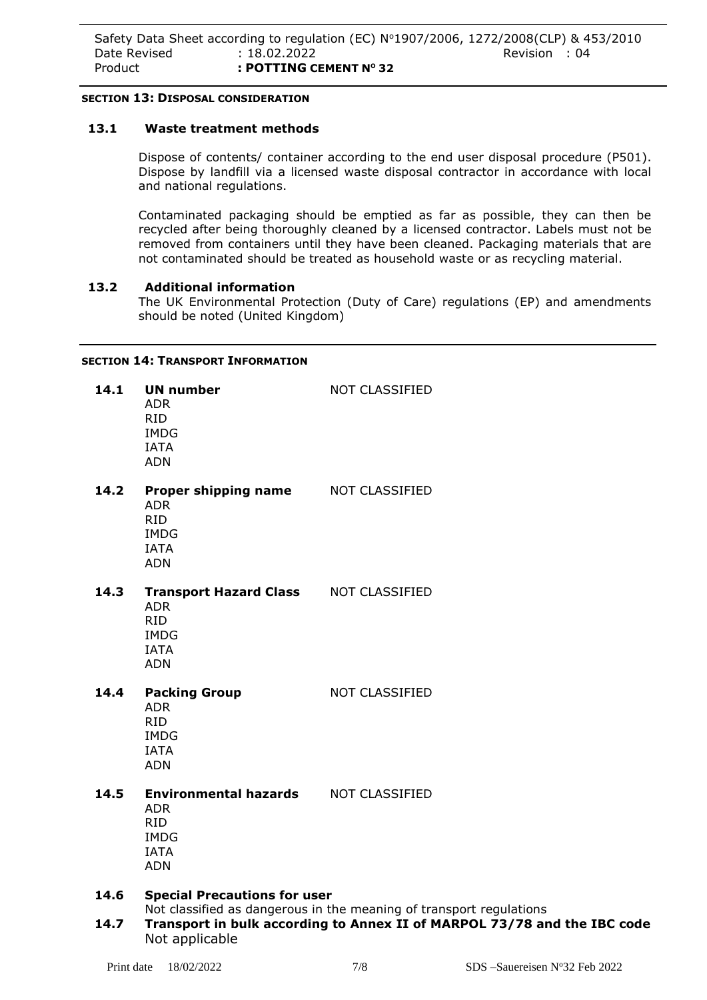# **SECTION 13: DISPOSAL CONSIDERATION**

# **13.1 Waste treatment methods**

Dispose of contents/ container according to the end user disposal procedure (P501). Dispose by landfill via a licensed waste disposal contractor in accordance with local and national regulations.

Contaminated packaging should be emptied as far as possible, they can then be recycled after being thoroughly cleaned by a licensed contractor. Labels must not be removed from containers until they have been cleaned. Packaging materials that are not contaminated should be treated as household waste or as recycling material.

#### **13.2 Additional information**

The UK Environmental Protection (Duty of Care) regulations (EP) and amendments should be noted (United Kingdom)

#### **SECTION 14: TRANSPORT INFORMATION**

| 14.1 | <b>UN number</b><br><b>ADR</b><br><b>RID</b><br><b>IMDG</b><br><b>IATA</b><br><b>ADN</b>                            | NOT CLASSIFIED                                                            |  |  |  |  |
|------|---------------------------------------------------------------------------------------------------------------------|---------------------------------------------------------------------------|--|--|--|--|
| 14.2 | <b>Proper shipping name MOT CLASSIFIED</b><br><b>ADR</b><br><b>RID</b><br><b>IMDG</b><br><b>IATA</b><br><b>ADN</b>  |                                                                           |  |  |  |  |
| 14.3 | Transport Hazard Class NOT CLASSIFIED<br><b>ADR</b><br><b>RID</b><br><b>IMDG</b><br><b>IATA</b><br><b>ADN</b>       |                                                                           |  |  |  |  |
| 14.4 | <b>Packing Group</b><br><b>ADR</b><br><b>RID</b><br><b>IMDG</b><br><b>IATA</b><br><b>ADN</b>                        | NOT CLASSIFIED                                                            |  |  |  |  |
| 14.5 | <b>Environmental hazards NOT CLASSIFIED</b><br><b>ADR</b><br><b>RID</b><br><b>IMDG</b><br><b>IATA</b><br><b>ADN</b> |                                                                           |  |  |  |  |
| 14.6 | <b>Special Precautions for user</b>                                                                                 | Not classified as dangerous in the meaning of transport regulations       |  |  |  |  |
| 117  |                                                                                                                     | Transport in bully association to Appen II of MADDOL 72/70 and the IDC of |  |  |  |  |

**14.7 Transport in bulk according to Annex II of MARPOL 73/78 and the IBC code** Not applicable